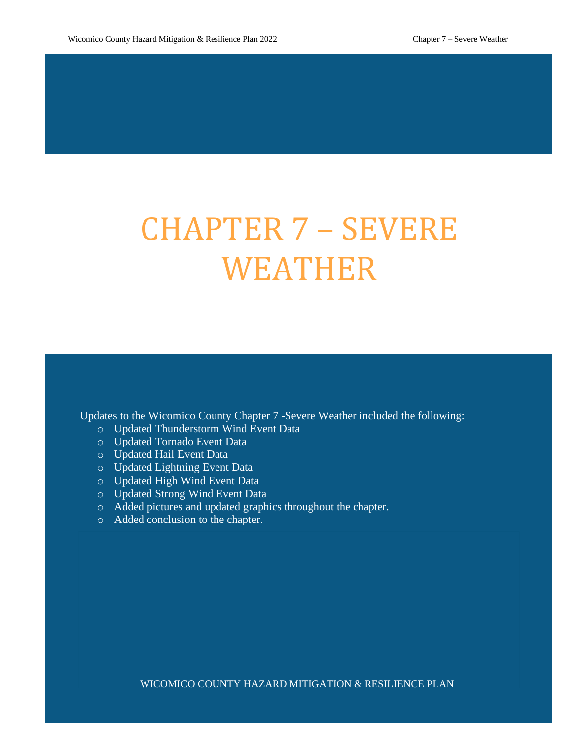# CHAPTER 7 – SEVERE WEATHER

Updates to the Wicomico County Chapter 7 -Severe Weather included the following:

- o Updated Thunderstorm Wind Event Data
- o Updated Tornado Event Data
- o Updated Hail Event Data
- o Updated Lightning Event Data
- o Updated High Wind Event Data
- o Updated Strong Wind Event Data
- o Added pictures and updated graphics throughout the chapter.
- o Added conclusion to the chapter.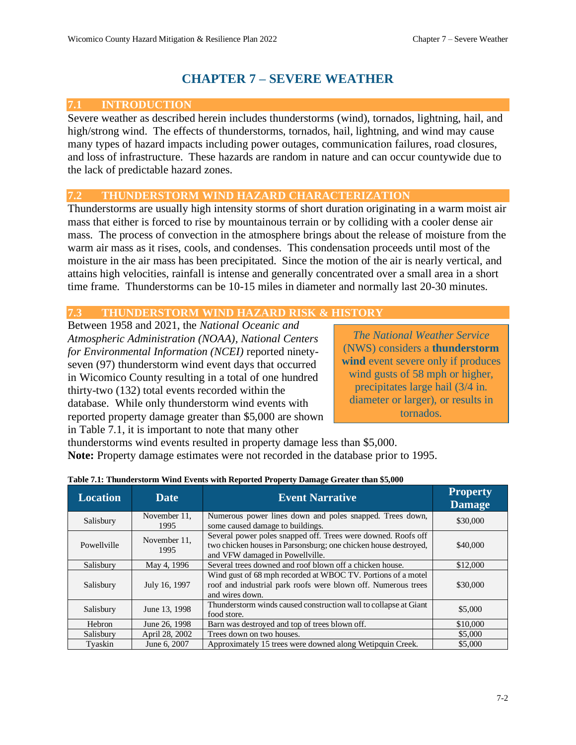## **CHAPTER 7 – SEVERE WEATHER**

## **7.1 INTRODUCTION**

Severe weather as described herein includes thunderstorms (wind), tornados, lightning, hail, and high/strong wind. The effects of thunderstorms, tornados, hail, lightning, and wind may cause many types of hazard impacts including power outages, communication failures, road closures, and loss of infrastructure. These hazards are random in nature and can occur countywide due to the lack of predictable hazard zones.

## **7.2 THUNDERSTORM WIND HAZARD CHARACTERIZATION**

Thunderstorms are usually high intensity storms of short duration originating in a warm moist air mass that either is forced to rise by mountainous terrain or by colliding with a cooler dense air mass. The process of convection in the atmosphere brings about the release of moisture from the warm air mass as it rises, cools, and condenses. This condensation proceeds until most of the moisture in the air mass has been precipitated. Since the motion of the air is nearly vertical, and attains high velocities, rainfall is intense and generally concentrated over a small area in a short time frame. Thunderstorms can be 10-15 miles in diameter and normally last 20-30 minutes.

## **7.3 THUNDERSTORM WIND HAZARD RISK & HISTORY**

Between 1958 and 2021, the *National Oceanic and Atmospheric Administration (NOAA), National Centers for Environmental Information (NCEI)* reported ninetyseven (97) thunderstorm wind event days that occurred in Wicomico County resulting in a total of one hundred thirty-two (132) total events recorded within the database. While only thunderstorm wind events with reported property damage greater than \$5,000 are shown in Table 7.1, it is important to note that many other

*The National Weather Service* (NWS) considers a **thunderstorm wind** event severe only if produces wind gusts of 58 mph or higher, precipitates large hail (3/4 in. diameter or larger), or results in tornados.

thunderstorms wind events resulted in property damage less than \$5,000. **Note:** Property damage estimates were not recorded in the database prior to 1995.

| <b>Location</b>                               | <b>Date</b>                                                                                      | <b>Event Narrative</b>                                                                                                                                              | <b>Property</b><br><b>Damage</b> |
|-----------------------------------------------|--------------------------------------------------------------------------------------------------|---------------------------------------------------------------------------------------------------------------------------------------------------------------------|----------------------------------|
| Salisbury                                     | November 11.<br>1995                                                                             | Numerous power lines down and poles snapped. Trees down,<br>some caused damage to buildings.                                                                        | \$30,000                         |
| Powellville                                   | November 11.<br>1995                                                                             | Several power poles snapped off. Trees were downed. Roofs off<br>two chicken houses in Parsonsburg; one chicken house destroyed,<br>and VFW damaged in Powellville. | \$40,000                         |
| Salisbury                                     | May 4, 1996                                                                                      | Several trees downed and roof blown off a chicken house.                                                                                                            | \$12,000                         |
| July 16, 1997<br>Salisbury<br>and wires down. |                                                                                                  | Wind gust of 68 mph recorded at WBOC TV. Portions of a motel<br>roof and industrial park roofs were blown off. Numerous trees                                       | \$30,000                         |
| Salisbury                                     | Thunderstorm winds caused construction wall to collapse at Giant<br>June 13, 1998<br>food store. |                                                                                                                                                                     | \$5,000                          |
| <b>Hebron</b>                                 | June 26, 1998                                                                                    | Barn was destroyed and top of trees blown off.                                                                                                                      | \$10,000                         |
| Salisbury                                     | April 28, 2002                                                                                   | Trees down on two houses.                                                                                                                                           | \$5,000                          |
| Tyaskin                                       | June 6, 2007                                                                                     | Approximately 15 trees were downed along Wetipquin Creek.                                                                                                           | \$5,000                          |

#### **Table 7.1: Thunderstorm Wind Events with Reported Property Damage Greater than \$5,000**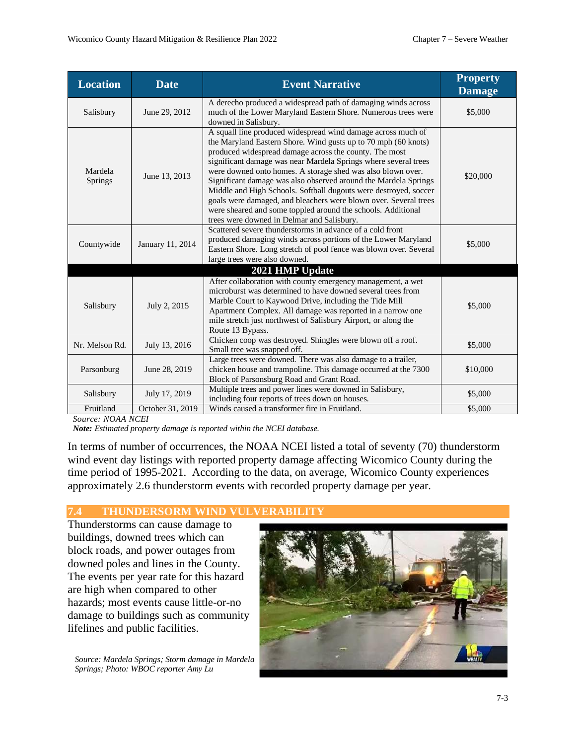| <b>Location</b>           | <b>Date</b>                                                                                                                                                                                                                                                                                                                                              | <b>Event Narrative</b>                                                                                                                                                                                                                                                                                                                                                                                                                                                                                                                                                                                                                              | <b>Property</b><br><b>Damage</b> |
|---------------------------|----------------------------------------------------------------------------------------------------------------------------------------------------------------------------------------------------------------------------------------------------------------------------------------------------------------------------------------------------------|-----------------------------------------------------------------------------------------------------------------------------------------------------------------------------------------------------------------------------------------------------------------------------------------------------------------------------------------------------------------------------------------------------------------------------------------------------------------------------------------------------------------------------------------------------------------------------------------------------------------------------------------------------|----------------------------------|
| Salisbury                 | June 29, 2012                                                                                                                                                                                                                                                                                                                                            | A derecho produced a widespread path of damaging winds across<br>much of the Lower Maryland Eastern Shore. Numerous trees were<br>downed in Salisbury.                                                                                                                                                                                                                                                                                                                                                                                                                                                                                              | \$5,000                          |
| Mardela<br><b>Springs</b> | June 13, 2013                                                                                                                                                                                                                                                                                                                                            | A squall line produced widespread wind damage across much of<br>the Maryland Eastern Shore. Wind gusts up to 70 mph (60 knots)<br>produced widespread damage across the county. The most<br>significant damage was near Mardela Springs where several trees<br>were downed onto homes. A storage shed was also blown over.<br>Significant damage was also observed around the Mardela Springs<br>Middle and High Schools. Softball dugouts were destroyed, soccer<br>goals were damaged, and bleachers were blown over. Several trees<br>were sheared and some toppled around the schools. Additional<br>trees were downed in Delmar and Salisbury. | \$20,000                         |
| Countywide                | Scattered severe thunderstorms in advance of a cold front<br>produced damaging winds across portions of the Lower Maryland<br>January 11, 2014<br>Eastern Shore. Long stretch of pool fence was blown over. Several<br>large trees were also downed.                                                                                                     |                                                                                                                                                                                                                                                                                                                                                                                                                                                                                                                                                                                                                                                     | \$5,000                          |
|                           |                                                                                                                                                                                                                                                                                                                                                          | 2021 HMP Update                                                                                                                                                                                                                                                                                                                                                                                                                                                                                                                                                                                                                                     |                                  |
| Salisbury                 | After collaboration with county emergency management, a wet<br>microburst was determined to have downed several trees from<br>Marble Court to Kaywood Drive, including the Tide Mill<br>July 2, 2015<br>Apartment Complex. All damage was reported in a narrow one<br>mile stretch just northwest of Salisbury Airport, or along the<br>Route 13 Bypass. |                                                                                                                                                                                                                                                                                                                                                                                                                                                                                                                                                                                                                                                     | \$5,000                          |
| Nr. Melson Rd.            | Chicken coop was destroyed. Shingles were blown off a roof.<br>July 13, 2016<br>Small tree was snapped off.                                                                                                                                                                                                                                              |                                                                                                                                                                                                                                                                                                                                                                                                                                                                                                                                                                                                                                                     | \$5,000                          |
| Parsonburg                | Large trees were downed. There was also damage to a trailer,<br>chicken house and trampoline. This damage occurred at the 7300<br>June 28, 2019<br>Block of Parsonsburg Road and Grant Road.                                                                                                                                                             |                                                                                                                                                                                                                                                                                                                                                                                                                                                                                                                                                                                                                                                     | \$10,000                         |
| Salisbury                 | July 17, 2019                                                                                                                                                                                                                                                                                                                                            | Multiple trees and power lines were downed in Salisbury,<br>including four reports of trees down on houses.                                                                                                                                                                                                                                                                                                                                                                                                                                                                                                                                         | \$5,000                          |
| Fruitland                 | October 31, 2019                                                                                                                                                                                                                                                                                                                                         | Winds caused a transformer fire in Fruitland.                                                                                                                                                                                                                                                                                                                                                                                                                                                                                                                                                                                                       | \$5,000                          |

*Source: NOAA NCEI*

*Note: Estimated property damage is reported within the NCEI database.* 

In terms of number of occurrences, the NOAA NCEI listed a total of seventy (70) thunderstorm wind event day listings with reported property damage affecting Wicomico County during the time period of 1995-2021. According to the data, on average, Wicomico County experiences approximately 2.6 thunderstorm events with recorded property damage per year.

## **7.4 THUNDERSORM WIND VULVER**

Thunderstorms can cause damage to buildings, downed trees which can block roads, and power outages from downed poles and lines in the County. The events per year rate for this hazard are high when compared to other hazards; most events cause little-or-no damage to buildings such as community lifelines and public facilities.

*Source: Mardela Springs; Storm damage in Mardela Springs; Photo: WBOC reporter Amy Lu*

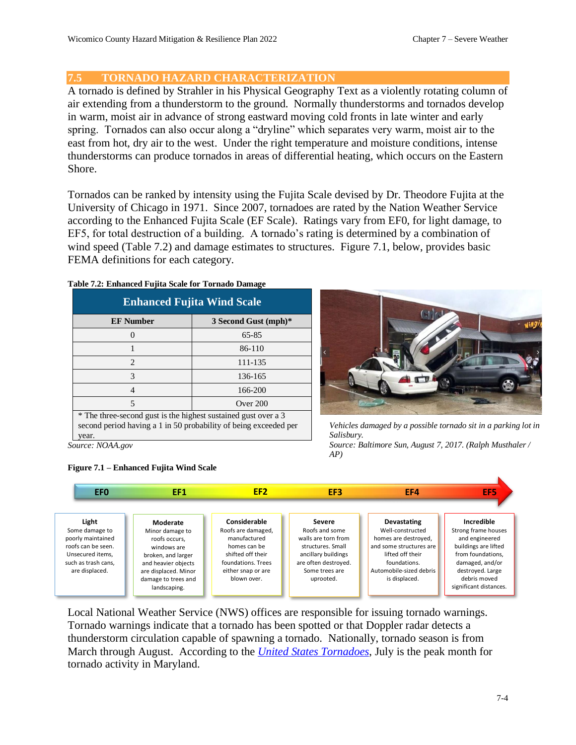## **7.5 TORNADO HAZARD CHARACTERIZATION**

A tornado is defined by Strahler in his Physical Geography Text as a violently rotating column of air extending from a thunderstorm to the ground. Normally thunderstorms and tornados develop in warm, moist air in advance of strong eastward moving cold fronts in late winter and early spring. Tornados can also occur along a "dryline" which separates very warm, moist air to the east from hot, dry air to the west. Under the right temperature and moisture conditions, intense thunderstorms can produce tornados in areas of differential heating, which occurs on the Eastern Shore.

Tornados can be ranked by intensity using the Fujita Scale devised by Dr. Theodore Fujita at the University of Chicago in 1971. Since 2007, tornadoes are rated by the Nation Weather Service according to the Enhanced Fujita Scale (EF Scale). Ratings vary from EF0, for light damage, to EF5, for total destruction of a building. A tornado's rating is determined by a combination of wind speed (Table 7.2) and damage estimates to structures. Figure 7.1, below, provides basic FEMA definitions for each category.

| <b>Enhanced Fujita Wind Scale</b>        |          |  |  |  |
|------------------------------------------|----------|--|--|--|
| <b>EF Number</b><br>3 Second Gust (mph)* |          |  |  |  |
|                                          | 65-85    |  |  |  |
|                                          | 86-110   |  |  |  |
| $\mathcal{D}_{\mathcal{A}}$              | 111-135  |  |  |  |
| 3                                        | 136-165  |  |  |  |
|                                          | 166-200  |  |  |  |
|                                          | Over 200 |  |  |  |

**Table 7.2: Enhanced Fujita Scale for Tornado Damage**

\* The three-second gust is the highest sustained gust over a 3 second period having a 1 in 50 probability of being exceeded per year.

*Source: NOAA.gov*





*Vehicles damaged by a possible tornado sit in a parking lot in Salisbury.*

*Source: Baltimore Sun, August 7, 2017. (Ralph Musthaler / AP)*



Local National Weather Service (NWS) offices are responsible for issuing tornado warnings. Tornado warnings indicate that a tornado has been spotted or that Doppler radar detects a thunderstorm circulation capable of spawning a tornado. Nationally, tornado season is from March through August. According to the *[United States Tornadoes](https://www.ustornadoes.com/2013/03/19/monthly-tornado-averages-by-state-and-region/#mid_atlantic)*, July is the peak month for tornado activity in Maryland.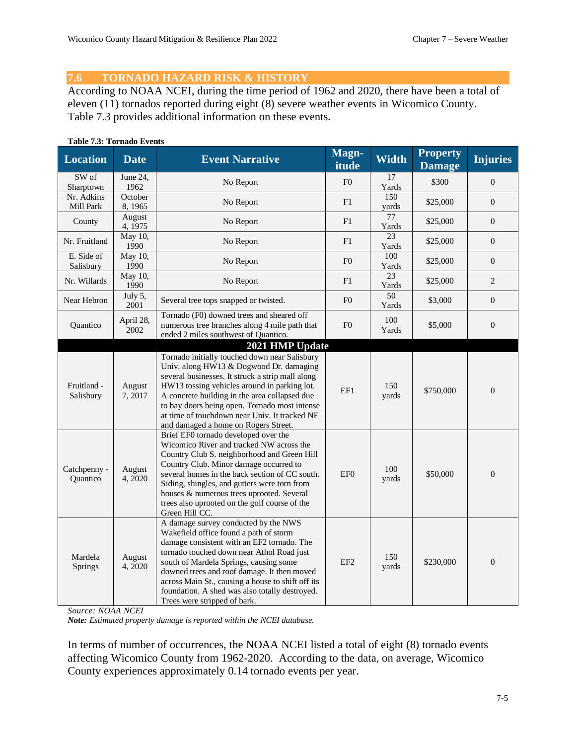## **7.6 TORNADO HAZARD RISK & HISTORY**

According to NOAA NCEI, during the time period of 1962 and 2020, there have been a total of eleven (11) tornados reported during eight (8) severe weather events in Wicomico County. Table 7.3 provides additional information on these events.

#### **Table 7.3: Tornado Events**

| <b>Location</b>            | <b>Date</b>        | <b>Event Narrative</b>                                                                                                                                                                                                                                                                                                                                                                                     | Magn-<br>itude  | <b>Width</b> | <b>Property</b><br><b>Damage</b> | <b>Injuries</b>  |
|----------------------------|--------------------|------------------------------------------------------------------------------------------------------------------------------------------------------------------------------------------------------------------------------------------------------------------------------------------------------------------------------------------------------------------------------------------------------------|-----------------|--------------|----------------------------------|------------------|
| SW of<br>Sharptown         | June 24,<br>1962   | No Report                                                                                                                                                                                                                                                                                                                                                                                                  | F <sub>0</sub>  | 17<br>Yards  | \$300                            | $\theta$         |
| $Nr$ . Adkins<br>Mill Park | October<br>8, 1965 | No Report                                                                                                                                                                                                                                                                                                                                                                                                  | F1              | 150<br>yards | \$25,000                         | $\overline{0}$   |
| County                     | August<br>4, 1975  | No Report                                                                                                                                                                                                                                                                                                                                                                                                  | F1              | 77<br>Yards  | \$25,000                         | $\boldsymbol{0}$ |
| Nr. Fruitland              | May 10,<br>1990    | No Report                                                                                                                                                                                                                                                                                                                                                                                                  | F1              | 23<br>Yards  | \$25,000                         | $\mathbf{0}$     |
| E. Side of<br>Salisbury    | May 10,<br>1990    | No Report                                                                                                                                                                                                                                                                                                                                                                                                  | F <sub>0</sub>  | 100<br>Yards | \$25,000                         | $\boldsymbol{0}$ |
| Nr. Willards               | May 10,<br>1990    | No Report                                                                                                                                                                                                                                                                                                                                                                                                  | F1              | 23<br>Yards  | \$25,000                         | 2                |
| Near Hebron                | July 5,<br>2001    | Several tree tops snapped or twisted.                                                                                                                                                                                                                                                                                                                                                                      | F <sub>0</sub>  | 50<br>Yards  | \$3,000                          | $\overline{0}$   |
| Quantico                   | April 28,<br>2002  | Tornado (F0) downed trees and sheared off<br>numerous tree branches along 4 mile path that<br>ended 2 miles southwest of Quantico.                                                                                                                                                                                                                                                                         | F()             | 100<br>Yards | \$5,000                          | $\theta$         |
| Fruitland -<br>Salisbury   | August<br>7,2017   | 2021 HMP Update<br>Tornado initially touched down near Salisbury<br>Univ. along HW13 & Dogwood Dr. damaging<br>several businesses. It struck a strip mall along<br>HW13 tossing vehicles around in parking lot.<br>A concrete building in the area collapsed due<br>to bay doors being open. Tornado most intense<br>at time of touchdown near Univ. It tracked NE<br>and damaged a home on Rogers Street. | EF1             | 150<br>yards | \$750,000                        | $\boldsymbol{0}$ |
| Catchpenny -<br>Quantico   | August<br>4,2020   | Brief EF0 tornado developed over the<br>Wicomico River and tracked NW across the<br>Country Club S. neighborhood and Green Hill<br>Country Club. Minor damage occurred to<br>several homes in the back section of CC south.<br>Siding, shingles, and gutters were torn from<br>houses & numerous trees uprooted. Several<br>trees also uprooted on the golf course of the<br>Green Hill CC.                | EF <sub>0</sub> | 100<br>yards | \$50,000                         | $\mathbf{0}$     |
| Mardela<br>Springs         | August<br>4,2020   | A damage survey conducted by the NWS<br>Wakefield office found a path of storm<br>damage consistent with an EF2 tornado. The<br>tornado touched down near Athol Road just<br>south of Mardela Springs, causing some<br>downed trees and roof damage. It then moved<br>across Main St., causing a house to shift off its<br>foundation. A shed was also totally destroyed.<br>Trees were stripped of bark.  | EF <sub>2</sub> | 150<br>yards | \$230,000                        | $\theta$         |

*Source: NOAA NCEI*

*Note: Estimated property damage is reported within the NCEI database.*

In terms of number of occurrences, the NOAA NCEI listed a total of eight (8) tornado events affecting Wicomico County from 1962-2020. According to the data, on average, Wicomico County experiences approximately 0.14 tornado events per year.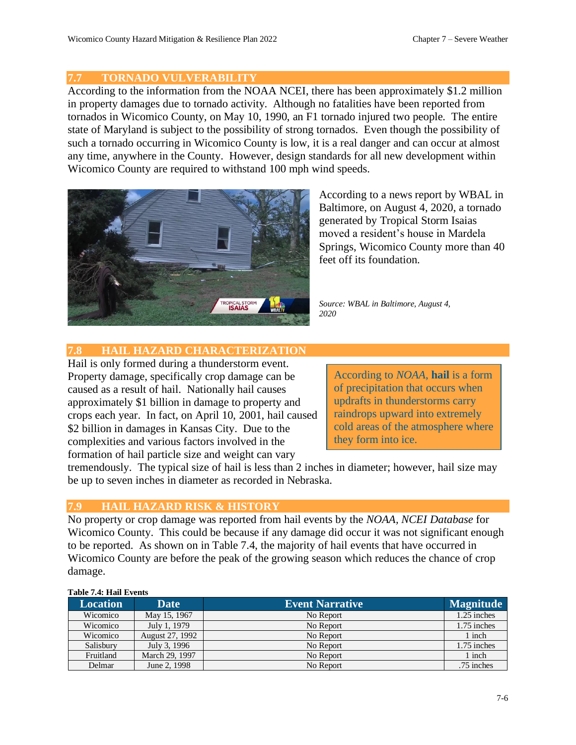## **7.7 TORNADO VULVERABILITY**

According to the information from the NOAA NCEI, there has been approximately \$1.2 million in property damages due to tornado activity. Although no fatalities have been reported from tornados in Wicomico County, on May 10, 1990, an F1 tornado injured two people. The entire state of Maryland is subject to the possibility of strong tornados. Even though the possibility of such a tornado occurring in Wicomico County is low, it is a real danger and can occur at almost any time, anywhere in the County. However, design standards for all new development within Wicomico County are required to withstand 100 mph wind speeds.



According to a news report by WBAL in Baltimore, on August 4, 2020, a tornado generated by Tropical Storm Isaias moved a resident's house in Mardela Springs, Wicomico County more than 40 feet off its foundation.

*Source: WBAL in Baltimore, August 4, 2020*

## **7.8 HAIL HAZARD CHARACTERIZATION**

Hail is only formed during a thunderstorm event. Property damage, specifically crop damage can be caused as a result of hail. Nationally hail causes approximately \$1 billion in damage to property and crops each year. In fact, on April 10, 2001, hail caused \$2 billion in damages in Kansas City. Due to the complexities and various factors involved in the formation of hail particle size and weight can vary

According to *NOAA*, **hail** is a form of precipitation that occurs when updrafts in thunderstorms carry raindrops upward into extremely cold areas of the atmosphere where they form into ice.

tremendously. The typical size of hail is less than 2 inches in diameter; however, hail size may be up to seven inches in diameter as recorded in Nebraska.

## **7.9 HAIL HAZARD RISK & HISTORY**

No property or crop damage was reported from hail events by the *NOAA, NCEI Database* for Wicomico County. This could be because if any damage did occur it was not significant enough to be reported. As shown on in Table 7.4, the majority of hail events that have occurred in Wicomico County are before the peak of the growing season which reduces the chance of crop damage.

#### **Table 7.4: Hail Events**

| <b>Location</b> | <b>Date</b>     | <b>Event Narrative</b> | <b>Magnitude</b> |
|-----------------|-----------------|------------------------|------------------|
| Wicomico        | May 15, 1967    | No Report              | 1.25 inches      |
| Wicomico        | July 1, 1979    | No Report              | 1.75 inches      |
| Wicomico        | August 27, 1992 | No Report              | 1 inch           |
| Salisbury       | July 3, 1996    | No Report              | 1.75 inches      |
| Fruitland       | March 29, 1997  | No Report              | 1 inch           |
| Delmar          | June 2, 1998    | No Report              | .75 inches       |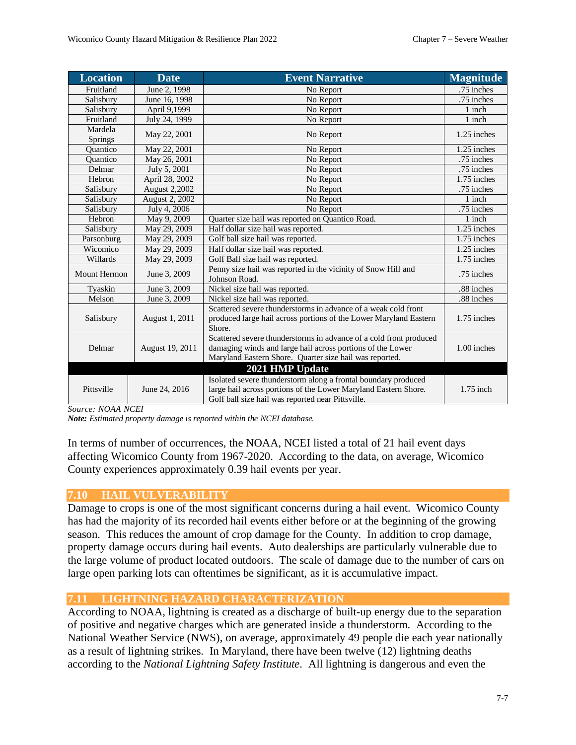| <b>Location</b> | <b>Date</b>          | <b>Event Narrative</b>                                                                                                                                                                      | <b>Magnitude</b> |
|-----------------|----------------------|---------------------------------------------------------------------------------------------------------------------------------------------------------------------------------------------|------------------|
| Fruitland       | June 2, 1998         | No Report                                                                                                                                                                                   | .75 inches       |
| Salisbury       | June 16, 1998        | No Report                                                                                                                                                                                   | .75 inches       |
| Salisbury       | April 9,1999         | No Report                                                                                                                                                                                   | 1 inch           |
| Fruitland       | July 24, 1999        | No Report                                                                                                                                                                                   | 1 inch           |
| Mardela         | May 22, 2001         | No Report                                                                                                                                                                                   | 1.25 inches      |
| <b>Springs</b>  |                      |                                                                                                                                                                                             |                  |
| Ouantico        | May 22, 2001         | No Report                                                                                                                                                                                   | 1.25 inches      |
| <b>Quantico</b> | May 26, 2001         | No Report                                                                                                                                                                                   | .75 inches       |
| Delmar          | July 5, 2001         | No Report                                                                                                                                                                                   | .75 inches       |
| Hebron          | April 28, 2002       | No Report                                                                                                                                                                                   | 1.75 inches      |
| Salisbury       | <b>August 2,2002</b> | No Report                                                                                                                                                                                   | .75 inches       |
| Salisbury       | August 2, 2002       | No Report                                                                                                                                                                                   | 1 inch           |
| Salisbury       | July 4, 2006         | No Report                                                                                                                                                                                   | .75 inches       |
| Hebron          | May 9, 2009          | Quarter size hail was reported on Quantico Road.                                                                                                                                            | 1 inch           |
| Salisbury       | May 29, 2009         | Half dollar size hail was reported.                                                                                                                                                         | 1.25 inches      |
| Parsonburg      | May 29, 2009         | Golf ball size hail was reported.                                                                                                                                                           | 1.75 inches      |
| Wicomico        | May 29, 2009         | Half dollar size hail was reported.                                                                                                                                                         | 1.25 inches      |
| Willards        | May 29, 2009         | Golf Ball size hail was reported.                                                                                                                                                           | 1.75 inches      |
| Mount Hermon    | June 3, 2009         | Penny size hail was reported in the vicinity of Snow Hill and<br>Johnson Road.                                                                                                              | .75 inches       |
| Tyaskin         | June 3, 2009         | Nickel size hail was reported.                                                                                                                                                              | .88 inches       |
| Melson          | June 3, 2009         | Nickel size hail was reported.                                                                                                                                                              | .88 inches       |
| Salisbury       | August 1, 2011       | Scattered severe thunderstorms in advance of a weak cold front<br>produced large hail across portions of the Lower Maryland Eastern<br>Shore.                                               | 1.75 inches      |
| Delmar          | August 19, 2011      | Scattered severe thunderstorms in advance of a cold front produced<br>damaging winds and large hail across portions of the Lower<br>Maryland Eastern Shore. Quarter size hail was reported. | 1.00 inches      |
|                 |                      | 2021 HMP Update                                                                                                                                                                             |                  |
|                 |                      | Isolated severe thunderstorm along a frontal boundary produced                                                                                                                              |                  |
| Pittsville      | June 24, 2016        | large hail across portions of the Lower Maryland Eastern Shore.<br>Golf ball size hail was reported near Pittsville.                                                                        | $1.75$ inch      |

*Source: NOAA NCEI*

*Note: Estimated property damage is reported within the NCEI database.*

In terms of number of occurrences, the NOAA, NCEI listed a total of 21 hail event days affecting Wicomico County from 1967-2020. According to the data, on average, Wicomico County experiences approximately 0.39 hail events per year.

#### **7.10 HAIL VULVERABILITY**

Damage to crops is one of the most significant concerns during a hail event. Wicomico County has had the majority of its recorded hail events either before or at the beginning of the growing season. This reduces the amount of crop damage for the County. In addition to crop damage, property damage occurs during hail events. Auto dealerships are particularly vulnerable due to the large volume of product located outdoors. The scale of damage due to the number of cars on large open parking lots can oftentimes be significant, as it is accumulative impact.

## **7.11 LIGHTNING HAZARD CHARACTERIZATION**

According to NOAA, lightning is created as a discharge of built-up energy due to the separation of positive and negative charges which are generated inside a thunderstorm. According to the National Weather Service (NWS), on average, approximately 49 people die each year nationally as a result of lightning strikes. In Maryland, there have been twelve (12) lightning deaths according to the *National Lightning Safety Institute*. All lightning is dangerous and even the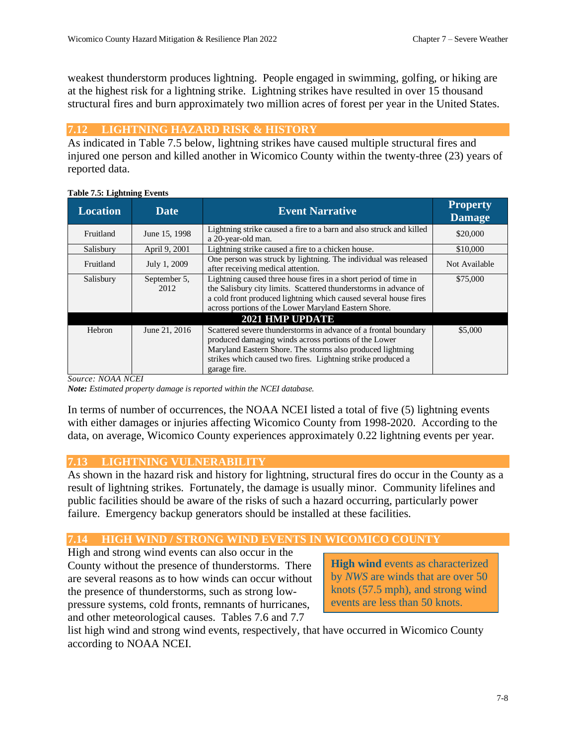weakest thunderstorm produces lightning. People engaged in swimming, golfing, or hiking are at the highest risk for a lightning strike. Lightning strikes have resulted in over 15 thousand structural fires and burn approximately two million acres of forest per year in the United States.

## **7.12 LIGHTNING HAZARD RISK & HISTORY**

As indicated in Table 7.5 below, lightning strikes have caused multiple structural fires and injured one person and killed another in Wicomico County within the twenty-three (23) years of reported data.

| <b>Location</b> | <b>Date</b>          | <b>Event Narrative</b>                                                                                                                                                                                                                                               | <b>Property</b><br><b>Damage</b> |
|-----------------|----------------------|----------------------------------------------------------------------------------------------------------------------------------------------------------------------------------------------------------------------------------------------------------------------|----------------------------------|
| Fruitland       | June 15, 1998        | Lightning strike caused a fire to a barn and also struck and killed<br>a 20-year-old man.                                                                                                                                                                            | \$20,000                         |
| Salisbury       | April 9, 2001        | Lightning strike caused a fire to a chicken house.                                                                                                                                                                                                                   | \$10,000                         |
| Fruitland       | July 1, 2009         | One person was struck by lightning. The individual was released<br>after receiving medical attention.                                                                                                                                                                | Not Available                    |
| Salisbury       | September 5,<br>2012 | Lightning caused three house fires in a short period of time in<br>the Salisbury city limits. Scattered thunderstorms in advance of<br>a cold front produced lightning which caused several house fires<br>across portions of the Lower Maryland Eastern Shore.      | \$75,000                         |
|                 |                      | <b>2021 HMP UPDATE</b>                                                                                                                                                                                                                                               |                                  |
| Hebron          | June 21, 2016        | Scattered severe thunderstorms in advance of a frontal boundary<br>produced damaging winds across portions of the Lower<br>Maryland Eastern Shore. The storms also produced lightning<br>strikes which caused two fires. Lightning strike produced a<br>garage fire. | \$5,000                          |

#### **Table 7.5: Lightning Events**

*Source: NOAA NCEI*

*Note: Estimated property damage is reported within the NCEI database.* 

In terms of number of occurrences, the NOAA NCEI listed a total of five (5) lightning events with either damages or injuries affecting Wicomico County from 1998-2020. According to the data, on average, Wicomico County experiences approximately 0.22 lightning events per year.

## **7.13 LIGHTNING VULNERABILITY**

As shown in the hazard risk and history for lightning, structural fires do occur in the County as a result of lightning strikes. Fortunately, the damage is usually minor. Community lifelines and public facilities should be aware of the risks of such a hazard occurring, particularly power failure. Emergency backup generators should be installed at these facilities.

## **7.14 HIGH WIND / STRONG WIND EVENTS IN WICOMICO COUNTY**

High and strong wind events can also occur in the County without the presence of thunderstorms. There are several reasons as to how winds can occur without the presence of thunderstorms, such as strong lowpressure systems, cold fronts, remnants of hurricanes, and other meteorological causes. Tables 7.6 and 7.7

**High wind** events as characterized by *NWS* are winds that are over 50 knots (57.5 mph), and strong wind events are less than 50 knots.

list high wind and strong wind events, respectively, that have occurred in Wicomico County according to NOAA NCEI.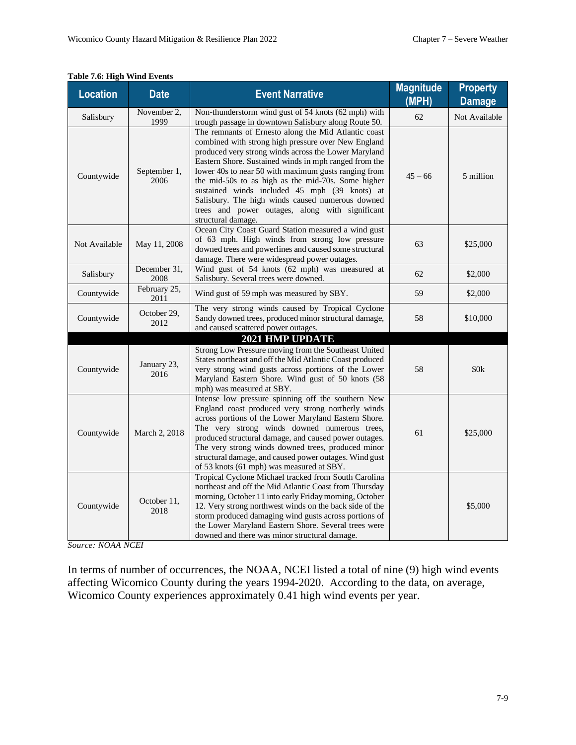| <b>Location</b> | <b>Date</b>          | <b>Event Narrative</b>                                                                                                                                                                                                                                                                                                                                                                                                                                                                                                   | <b>Magnitude</b><br>(MPH) | <b>Property</b><br><b>Damage</b> |
|-----------------|----------------------|--------------------------------------------------------------------------------------------------------------------------------------------------------------------------------------------------------------------------------------------------------------------------------------------------------------------------------------------------------------------------------------------------------------------------------------------------------------------------------------------------------------------------|---------------------------|----------------------------------|
| Salisbury       | November 2,<br>1999  | Non-thunderstorm wind gust of 54 knots (62 mph) with<br>trough passage in downtown Salisbury along Route 50.                                                                                                                                                                                                                                                                                                                                                                                                             | 62                        | Not Available                    |
| Countywide      | September 1,<br>2006 | The remnants of Ernesto along the Mid Atlantic coast<br>combined with strong high pressure over New England<br>produced very strong winds across the Lower Maryland<br>Eastern Shore. Sustained winds in mph ranged from the<br>lower 40s to near 50 with maximum gusts ranging from<br>the mid-50s to as high as the mid-70s. Some higher<br>sustained winds included 45 mph (39 knots) at<br>Salisbury. The high winds caused numerous downed<br>trees and power outages, along with significant<br>structural damage. | $45 - 66$                 | 5 million                        |
| Not Available   | May 11, 2008         | Ocean City Coast Guard Station measured a wind gust<br>of 63 mph. High winds from strong low pressure<br>downed trees and powerlines and caused some structural<br>damage. There were widespread power outages.                                                                                                                                                                                                                                                                                                          | 63                        | \$25,000                         |
| Salisbury       | December 31,<br>2008 | Wind gust of 54 knots (62 mph) was measured at<br>Salisbury. Several trees were downed.                                                                                                                                                                                                                                                                                                                                                                                                                                  | 62                        | \$2,000                          |
| Countywide      | February 25,<br>2011 | Wind gust of 59 mph was measured by SBY.                                                                                                                                                                                                                                                                                                                                                                                                                                                                                 | 59                        | \$2,000                          |
| Countywide      | October 29,<br>2012  | The very strong winds caused by Tropical Cyclone<br>Sandy downed trees, produced minor structural damage,<br>and caused scattered power outages.                                                                                                                                                                                                                                                                                                                                                                         | 58                        | \$10,000                         |
|                 |                      | 2021 HMP UPDATE                                                                                                                                                                                                                                                                                                                                                                                                                                                                                                          |                           |                                  |
| Countywide      | January 23,<br>2016  | Strong Low Pressure moving from the Southeast United<br>States northeast and off the Mid Atlantic Coast produced<br>very strong wind gusts across portions of the Lower<br>Maryland Eastern Shore. Wind gust of 50 knots (58<br>mph) was measured at SBY.                                                                                                                                                                                                                                                                | 58                        | \$0k                             |
| Countywide      | March 2, 2018        | Intense low pressure spinning off the southern New<br>England coast produced very strong northerly winds<br>across portions of the Lower Maryland Eastern Shore.<br>The very strong winds downed numerous trees,<br>produced structural damage, and caused power outages.<br>The very strong winds downed trees, produced minor<br>structural damage, and caused power outages. Wind gust<br>of 53 knots (61 mph) was measured at SBY.                                                                                   | 61                        | \$25,000                         |
| Countywide      | October 11,<br>2018  | Tropical Cyclone Michael tracked from South Carolina<br>northeast and off the Mid Atlantic Coast from Thursday<br>morning, October 11 into early Friday morning, October<br>12. Very strong northwest winds on the back side of the<br>storm produced damaging wind gusts across portions of<br>the Lower Maryland Eastern Shore. Several trees were<br>downed and there was minor structural damage.                                                                                                                    |                           | \$5,000                          |

## **Table 7.6: High Wind Events**

*Source: NOAA NCEI*

In terms of number of occurrences, the NOAA, NCEI listed a total of nine (9) high wind events affecting Wicomico County during the years 1994-2020. According to the data, on average, Wicomico County experiences approximately 0.41 high wind events per year.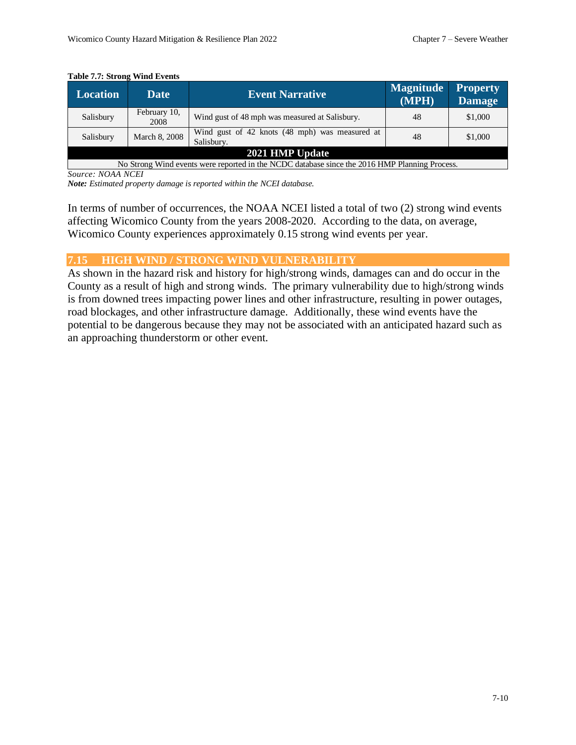| <b>Location</b>                                                                               | <b>Date</b>          | <b>Event Narrative</b>                                       | <b>Magnitude</b><br>(MPH) | <b>Property</b><br><b>Damage</b> |  |
|-----------------------------------------------------------------------------------------------|----------------------|--------------------------------------------------------------|---------------------------|----------------------------------|--|
| Salisbury                                                                                     | February 10,<br>2008 | Wind gust of 48 mph was measured at Salisbury.               | 48                        | \$1,000                          |  |
| Salisbury                                                                                     | March 8, 2008        | Wind gust of 42 knots (48 mph) was measured at<br>Salisbury. | 48                        | \$1,000                          |  |
| 2021 HMP Update                                                                               |                      |                                                              |                           |                                  |  |
| No Strong Wind events were reported in the NCDC database since the 2016 HMP Planning Process. |                      |                                                              |                           |                                  |  |

#### **Table 7.7: Strong Wind Events**

*Source: NOAA NCEI*

*Note: Estimated property damage is reported within the NCEI database.*

In terms of number of occurrences, the NOAA NCEI listed a total of two (2) strong wind events affecting Wicomico County from the years 2008-2020. According to the data, on average, Wicomico County experiences approximately 0.15 strong wind events per year.

### **7.15 HIGH WIND / STRONG WIND VULNERABILITY**

As shown in the hazard risk and history for high/strong winds, damages can and do occur in the County as a result of high and strong winds. The primary vulnerability due to high/strong winds is from downed trees impacting power lines and other infrastructure, resulting in power outages, road blockages, and other infrastructure damage. Additionally, these wind events have the potential to be dangerous because they may not be associated with an anticipated hazard such as an approaching thunderstorm or other event.